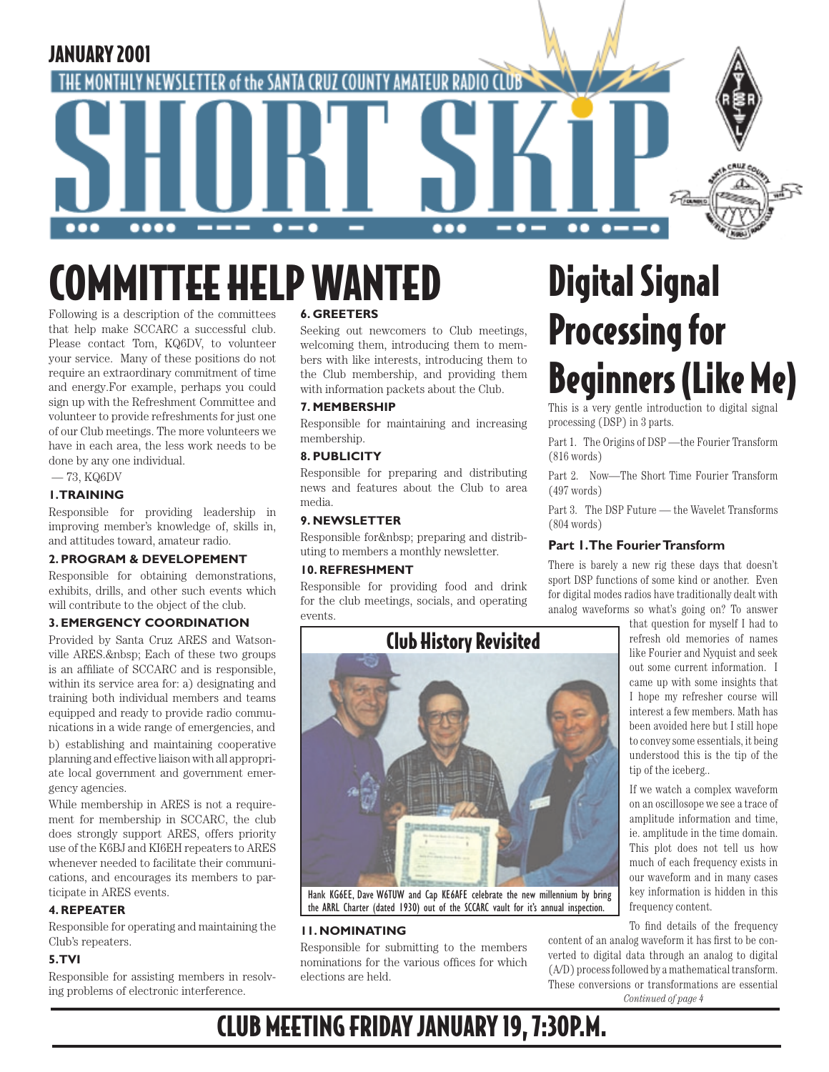

# COMMITTEE HELP WANTED

Following is a description of the committees that help make SCCARC a successful club. Please contact Tom, KQ6DV, to volunteer your service. Many of these positions do not require an extraordinary commitment of time and energy.For example, perhaps you could sign up with the Refreshment Committee and volunteer to provide refreshments for just one of our Club meetings. The more volunteers we have in each area, the less work needs to be done by any one individual.

— 73, KQ6DV

### **1. TRAINING**

Responsible for providing leadership in improving member's knowledge of, skills in, and attitudes toward, amateur radio.

### **2. PROGRAM & DEVELOPEMENT**

Responsible for obtaining demonstrations, exhibits, drills, and other such events which will contribute to the object of the club.

### **3. EMERGENCY COORDINATION**

Provided by Santa Cruz ARES and Watsonville ARES. & nbsp; Each of these two groups is an affiliate of SCCARC and is responsible, within its service area for: a) designating and training both individual members and teams equipped and ready to provide radio communications in a wide range of emergencies, and b) establishing and maintaining cooperative planning and effective liaison with all appropriate local government and government emergency agencies.

While membership in ARES is not a requirement for membership in SCCARC, the club does strongly support ARES, offers priority use of the K6BJ and KI6EH repeaters to ARES whenever needed to facilitate their communications, and encourages its members to participate in ARES events.

### **4. REPEATER**

Responsible for operating and maintaining the Club's repeaters.

### **5. TVI**

Responsible for assisting members in resolving problems of electronic interference.

### **6. GREETERS**

Seeking out newcomers to Club meetings, welcoming them, introducing them to members with like interests, introducing them to the Club membership, and providing them with information packets about the Club.

### **7. MEMBERSHIP**

Responsible for maintaining and increasing membership.

### **8. PUBLICITY**

Responsible for preparing and distributing news and features about the Club to area media.

### **9. NEWSLETTER**

Responsible for preparing and distributing to members a monthly newsletter.

### **10. REFRESHMENT**

Responsible for providing food and drink for the club meetings, socials, and operating events.



the ARRL Charter (dated 1930) out of the SCCARC vault for it's annual inspection.

### **11. NOMINATING**

Responsible for submitting to the members nominations for the various offices for which elections are held.

# Digital Signal Processing for Beginners (Like Me)

This is a very gentle introduction to digital signal processing (DSP) in 3 parts.

Part 1. The Origins of DSP —the Fourier Transform (816 words)

Part 2. Now—The Short Time Fourier Transform (497 words)

Part 3. The DSP Future — the Wavelet Transforms (804 words)

### **Part 1. The Fourier Transform**

There is barely a new rig these days that doesn't sport DSP functions of some kind or another. Even for digital modes radios have traditionally dealt with analog waveforms so what's going on? To answer

that question for myself I had to refresh old memories of names like Fourier and Nyquist and seek out some current information. I came up with some insights that I hope my refresher course will interest a few members. Math has been avoided here but I still hope to convey some essentials, it being understood this is the tip of the tip of the iceberg..

If we watch a complex waveform on an oscillosope we see a trace of amplitude information and time, ie. amplitude in the time domain. This plot does not tell us how much of each frequency exists in our waveform and in many cases key information is hidden in this frequency content.

To find details of the frequency

*Continued of page 4* content of an analog waveform it has first to be converted to digital data through an analog to digital (A/D) process followed by a mathematical transform. These conversions or transformations are essential

# CLUB MEETING FRIDAY JANUARY 19, 7:30P.M.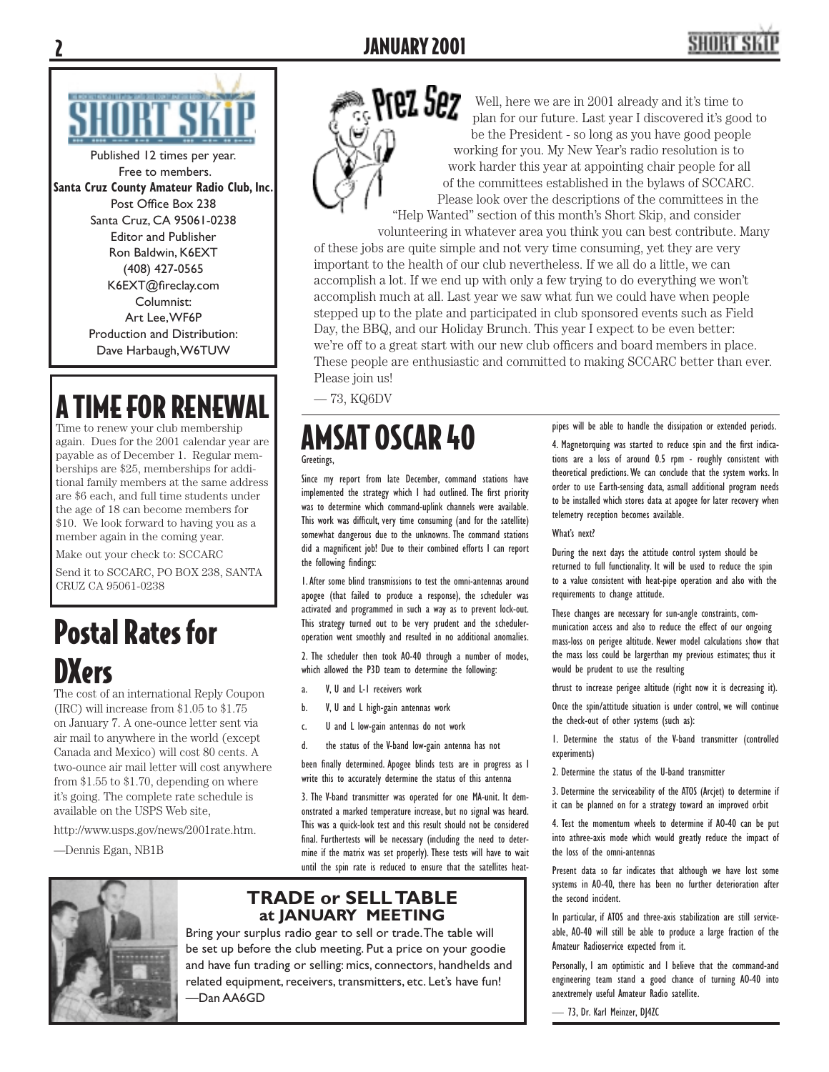

Published 12 times per year. Free to members. **Santa Cruz County Amateur Radio Club, Inc.** Post Office Box 238 Santa Cruz, CA 95061-0238 Editor and Publisher Ron Baldwin, K6EXT (408) 427-0565 K6EXT@fireclay.com Columnist: Art Lee, WF6P Production and Distribution: Dave Harbaugh, W6TUW

# **A TIME FOR RENEWAL**

Time to renew your club membership again. Dues for the 2001 calendar year are payable as of December 1. Regular memberships are \$25, memberships for additional family members at the same address are \$6 each, and full time students under the age of 18 can become members for \$10. We look forward to having you as a member again in the coming year.

Make out your check to: SCCARC

Send it to SCCARC, PO BOX 238, SANTA CRUZ CA 95061-0238

# Postal Rates for **DXers**

The cost of an international Reply Coupon (IRC) will increase from \$1.05 to \$1.75 on January 7. A one-ounce letter sent via air mail to anywhere in the world (except Canada and Mexico) will cost 80 cents. A two-ounce air mail letter will cost anywhere from \$1.55 to \$1.70, depending on where it's going. The complete rate schedule is available on the USPS Web site,

http://www.usps.gov/news/2001rate.htm.

—Dennis Egan, NB1B



Well, here we are in 2001 already and it's time to plan for our future. Last year I discovered it's good to be the President - so long as you have good people working for you. My New Year's radio resolution is to work harder this year at appointing chair people for all of the committees established in the bylaws of SCCARC. Please look over the descriptions of the committees in the "Help Wanted" section of this month's Short Skip, and consider

volunteering in whatever area you think you can best contribute. Many of these jobs are quite simple and not very time consuming, yet they are very important to the health of our club nevertheless. If we all do a little, we can accomplish a lot. If we end up with only a few trying to do everything we won't accomplish much at all. Last year we saw what fun we could have when people stepped up to the plate and participated in club sponsored events such as Field Day, the BBQ, and our Holiday Brunch. This year I expect to be even better: we're off to a great start with our new club officers and board members in place. These people are enthusiastic and committed to making SCCARC better than ever. Please join us!

— 73, KQ6DV

### AMSAT OSCAR 40 Greetings,

Since my report from late December, command stations have implemented the strategy which I had outlined. The first priority was to determine which command-uplink channels were available. This work was difficult, very time consuming (and for the satellite) somewhat dangerous due to the unknowns. The command stations did a magnificent job! Due to their combined efforts I can report the following findings:

1. After some blind transmissions to test the omni-antennas around apogee (that failed to produce a response), the scheduler was activated and programmed in such a way as to prevent lock-out. This strategy turned out to be very prudent and the scheduleroperation went smoothly and resulted in no additional anomalies.

2. The scheduler then took AO-40 through a number of modes, which allowed the P3D team to determine the following:

- a. V, U and L-1 receivers work
- b. V, U and L high-gain antennas work
- c. U and L low-gain antennas do not work

d. the status of the V-band low-gain antenna has not

been finally determined. Apogee blinds tests are in progress as I write this to accurately determine the status of this antenna

3. The V-band transmitter was operated for one MA-unit. It demonstrated a marked temperature increase, but no signal was heard. This was a quick-look test and this result should not be considered final. Furthertests will be necessary (including the need to determine if the matrix was set properly). These tests will have to wait until the spin rate is reduced to ensure that the satellites heat-



### **TRADE or SELL TABLE at JANUARY MEETING**

Bring your surplus radio gear to sell or trade. The table will be set up before the club meeting. Put a price on your goodie and have fun trading or selling: mics, connectors, handhelds and related equipment, receivers, transmitters, etc. Let's have fun! —Dan AA6GD

pipes will be able to handle the dissipation or extended periods.

4. Magnetorquing was started to reduce spin and the first indications are a loss of around 0.5 rpm - roughly consistent with theoretical predictions. We can conclude that the system works. In order to use Earth-sensing data, asmall additional program needs to be installed which stores data at apogee for later recovery when telemetry reception becomes available.

What's next?

During the next days the attitude control system should be returned to full functionality. It will be used to reduce the spin to a value consistent with heat-pipe operation and also with the requirements to change attitude.

These changes are necessary for sun-angle constraints, communication access and also to reduce the effect of our ongoing mass-loss on perigee altitude. Newer model calculations show that the mass loss could be largerthan my previous estimates; thus it would be prudent to use the resulting

thrust to increase perigee altitude (right now it is decreasing it).

Once the spin/attitude situation is under control, we will continue the check-out of other systems (such as):

1. Determine the status of the V-band transmitter (controlled experiments)

2. Determine the status of the U-band transmitter

3. Determine the serviceability of the ATOS (Arcjet) to determine if it can be planned on for a strategy toward an improved orbit

4. Test the momentum wheels to determine if AO-40 can be put into athree-axis mode which would greatly reduce the impact of the loss of the omni-antennas

Present data so far indicates that although we have lost some systems in AO-40, there has been no further deterioration after the second incident.

In particular, if ATOS and three-axis stabilization are still serviceable, AO-40 will still be able to produce a large fraction of the Amateur Radioservice expected from it.

Personally, I am optimistic and I believe that the command-and engineering team stand a good chance of turning AO-40 into anextremely useful Amateur Radio satellite.

— 73, Dr. Karl Meinzer, DJ4ZC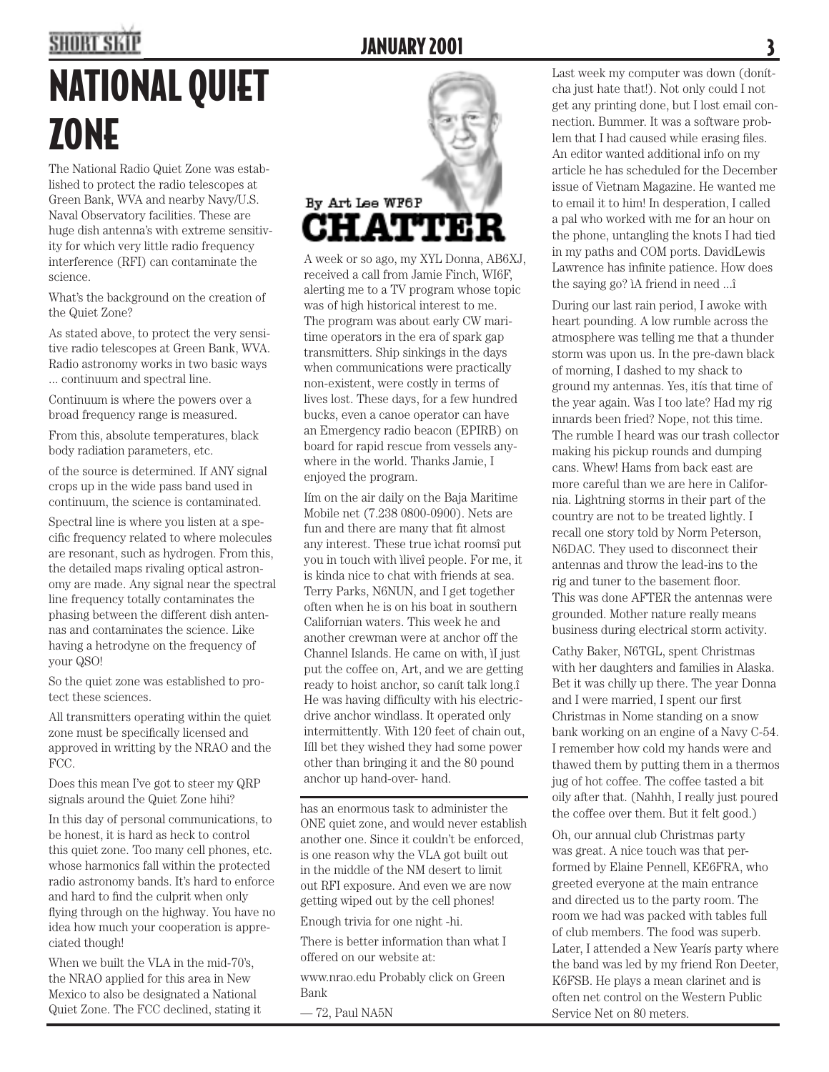# **SHORT SKIP**

### **JANUARY 2001**

# NATIONAL QUIET ZONE

The National Radio Quiet Zone was established to protect the radio telescopes at Green Bank, WVA and nearby Navy/U.S. Naval Observatory facilities. These are huge dish antenna's with extreme sensitivity for which very little radio frequency interference (RFI) can contaminate the science.

What's the background on the creation of the Quiet Zone?

As stated above, to protect the very sensitive radio telescopes at Green Bank, WVA. Radio astronomy works in two basic ways ... continuum and spectral line.

Continuum is where the powers over a broad frequency range is measured.

From this, absolute temperatures, black body radiation parameters, etc.

of the source is determined. If ANY signal crops up in the wide pass band used in continuum, the science is contaminated.

Spectral line is where you listen at a specific frequency related to where molecules are resonant, such as hydrogen. From this, the detailed maps rivaling optical astronomy are made. Any signal near the spectral line frequency totally contaminates the phasing between the different dish antennas and contaminates the science. Like having a hetrodyne on the frequency of your QSO!

So the quiet zone was established to protect these sciences.

All transmitters operating within the quiet zone must be specifically licensed and approved in writting by the NRAO and the FCC.

Does this mean I've got to steer my QRP signals around the Quiet Zone hihi?

In this day of personal communications, to be honest, it is hard as heck to control this quiet zone. Too many cell phones, etc. whose harmonics fall within the protected radio astronomy bands. It's hard to enforce and hard to find the culprit when only flying through on the highway. You have no idea how much your cooperation is appreciated though!

When we built the VLA in the mid-70's, the NRAO applied for this area in New Mexico to also be designated a National Quiet Zone. The FCC declined, stating it

# By Art Lee WF6P **HATTER**

A week or so ago, my XYL Donna, AB6XJ, received a call from Jamie Finch, WI6F, alerting me to a TV program whose topic was of high historical interest to me. The program was about early CW maritime operators in the era of spark gap transmitters. Ship sinkings in the days when communications were practically non-existent, were costly in terms of lives lost. These days, for a few hundred bucks, even a canoe operator can have an Emergency radio beacon (EPIRB) on board for rapid rescue from vessels anywhere in the world. Thanks Jamie, I enjoyed the program.

Iím on the air daily on the Baja Maritime Mobile net (7.238 0800-0900). Nets are fun and there are many that fit almost any interest. These true ìchat roomsî put you in touch with ìliveî people. For me, it is kinda nice to chat with friends at sea. Terry Parks, N6NUN, and I get together often when he is on his boat in southern Californian waters. This week he and another crewman were at anchor off the Channel Islands. He came on with, ìI just put the coffee on, Art, and we are getting ready to hoist anchor, so canít talk long.î He was having difficulty with his electricdrive anchor windlass. It operated only intermittently. With 120 feet of chain out, Iíll bet they wished they had some power other than bringing it and the 80 pound anchor up hand-over- hand.

has an enormous task to administer the ONE quiet zone, and would never establish another one. Since it couldn't be enforced, is one reason why the VLA got built out in the middle of the NM desert to limit out RFI exposure. And even we are now getting wiped out by the cell phones!

Enough trivia for one night -hi.

There is better information than what I offered on our website at:

www.nrao.edu Probably click on Green Bank

— 72, Paul NA5N

Last week my computer was down (donítcha just hate that!). Not only could I not get any printing done, but I lost email connection. Bummer. It was a software problem that I had caused while erasing files. An editor wanted additional info on my article he has scheduled for the December issue of Vietnam Magazine. He wanted me to email it to him! In desperation, I called a pal who worked with me for an hour on the phone, untangling the knots I had tied in my paths and COM ports. DavidLewis Lawrence has infinite patience. How does the saying go? ìA friend in need ...î

During our last rain period, I awoke with heart pounding. A low rumble across the atmosphere was telling me that a thunder storm was upon us. In the pre-dawn black of morning, I dashed to my shack to ground my antennas. Yes, itís that time of the year again. Was I too late? Had my rig innards been fried? Nope, not this time. The rumble I heard was our trash collector making his pickup rounds and dumping cans. Whew! Hams from back east are more careful than we are here in California. Lightning storms in their part of the country are not to be treated lightly. I recall one story told by Norm Peterson, N6DAC. They used to disconnect their antennas and throw the lead-ins to the rig and tuner to the basement floor. This was done AFTER the antennas were grounded. Mother nature really means business during electrical storm activity.

Cathy Baker, N6TGL, spent Christmas with her daughters and families in Alaska. Bet it was chilly up there. The year Donna and I were married, I spent our first Christmas in Nome standing on a snow bank working on an engine of a Navy C-54. I remember how cold my hands were and thawed them by putting them in a thermos jug of hot coffee. The coffee tasted a bit oily after that. (Nahhh, I really just poured the coffee over them. But it felt good.)

Oh, our annual club Christmas party was great. A nice touch was that performed by Elaine Pennell, KE6FRA, who greeted everyone at the main entrance and directed us to the party room. The room we had was packed with tables full of club members. The food was superb. Later, I attended a New Yearís party where the band was led by my friend Ron Deeter, K6FSB. He plays a mean clarinet and is often net control on the Western Public Service Net on 80 meters.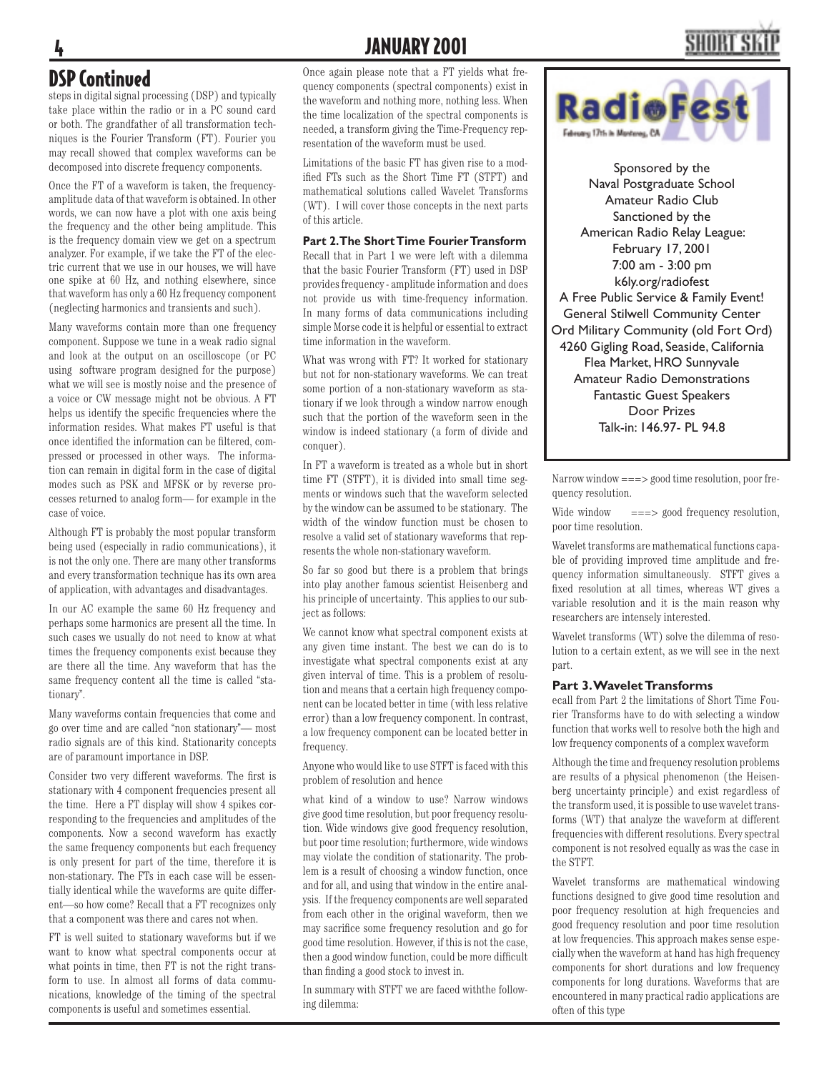### 4 JANUARY 2001

### DSP Continued

steps in digital signal processing (DSP) and typically take place within the radio or in a PC sound card or both. The grandfather of all transformation techniques is the Fourier Transform (FT). Fourier you may recall showed that complex waveforms can be decomposed into discrete frequency components.

Once the FT of a waveform is taken, the frequencyamplitude data of that waveform is obtained. In other words, we can now have a plot with one axis being the frequency and the other being amplitude. This is the frequency domain view we get on a spectrum analyzer. For example, if we take the FT of the electric current that we use in our houses, we will have one spike at 60 Hz, and nothing elsewhere, since that waveform has only a 60 Hz frequency component (neglecting harmonics and transients and such).

Many waveforms contain more than one frequency component. Suppose we tune in a weak radio signal and look at the output on an oscilloscope (or PC using software program designed for the purpose) what we will see is mostly noise and the presence of a voice or CW message might not be obvious. A FT helps us identify the specific frequencies where the information resides. What makes FT useful is that once identified the information can be filtered, compressed or processed in other ways. The information can remain in digital form in the case of digital modes such as PSK and MFSK or by reverse processes returned to analog form— for example in the case of voice.

Although FT is probably the most popular transform being used (especially in radio communications), it is not the only one. There are many other transforms and every transformation technique has its own area of application, with advantages and disadvantages.

In our AC example the same 60 Hz frequency and perhaps some harmonics are present all the time. In such cases we usually do not need to know at what times the frequency components exist because they are there all the time. Any waveform that has the same frequency content all the time is called "stationary".

Many waveforms contain frequencies that come and go over time and are called "non stationary"— most radio signals are of this kind. Stationarity concepts are of paramount importance in DSP.

Consider two very different waveforms. The first is stationary with 4 component frequencies present all the time. Here a FT display will show 4 spikes corresponding to the frequencies and amplitudes of the components. Now a second waveform has exactly the same frequency components but each frequency is only present for part of the time, therefore it is non-stationary. The FTs in each case will be essentially identical while the waveforms are quite different—so how come? Recall that a FT recognizes only that a component was there and cares not when.

FT is well suited to stationary waveforms but if we want to know what spectral components occur at what points in time, then FT is not the right transform to use. In almost all forms of data communications, knowledge of the timing of the spectral components is useful and sometimes essential.

Once again please note that a FT yields what frequency components (spectral components) exist in the waveform and nothing more, nothing less. When the time localization of the spectral components is needed, a transform giving the Time-Frequency representation of the waveform must be used.

Limitations of the basic FT has given rise to a modified FTs such as the Short Time FT (STFT) and mathematical solutions called Wavelet Transforms (WT). I will cover those concepts in the next parts of this article.

### **Part 2. The Short Time Fourier Transform**

Recall that in Part 1 we were left with a dilemma that the basic Fourier Transform (FT) used in DSP provides frequency - amplitude information and does not provide us with time-frequency information. In many forms of data communications including simple Morse code it is helpful or essential to extract time information in the waveform.

What was wrong with FT? It worked for stationary but not for non-stationary waveforms. We can treat some portion of a non-stationary waveform as stationary if we look through a window narrow enough such that the portion of the waveform seen in the window is indeed stationary (a form of divide and conquer).

In FT a waveform is treated as a whole but in short time FT (STFT), it is divided into small time segments or windows such that the waveform selected by the window can be assumed to be stationary. The width of the window function must be chosen to resolve a valid set of stationary waveforms that represents the whole non-stationary waveform.

So far so good but there is a problem that brings into play another famous scientist Heisenberg and his principle of uncertainty. This applies to our subject as follows:

We cannot know what spectral component exists at any given time instant. The best we can do is to investigate what spectral components exist at any given interval of time. This is a problem of resolution and means that a certain high frequency component can be located better in time (with less relative error) than a low frequency component. In contrast, a low frequency component can be located better in frequency.

Anyone who would like to use STFT is faced with this problem of resolution and hence

what kind of a window to use? Narrow windows give good time resolution, but poor frequency resolution. Wide windows give good frequency resolution, but poor time resolution; furthermore, wide windows may violate the condition of stationarity. The problem is a result of choosing a window function, once and for all, and using that window in the entire analysis. If the frequency components are well separated from each other in the original waveform, then we may sacrifice some frequency resolution and go for good time resolution. However, if this is not the case, then a good window function, could be more difficult than finding a good stock to invest in.

In summary with STFT we are faced withthe following dilemma:



Sponsored by the Naval Postgraduate School Amateur Radio Club Sanctioned by the American Radio Relay League: February 17, 2001 7:00 am - 3:00 pm k6ly.org/radiofest A Free Public Service & Family Event! General Stilwell Community Center Ord Military Community (old Fort Ord) 4260 Gigling Road, Seaside, California Flea Market, HRO Sunnyvale Amateur Radio Demonstrations Fantastic Guest Speakers Door Prizes Talk-in: 146.97- PL 94.8

Narrow window  $=\equiv\equiv$  2000 time resolution, poor frequency resolution.

Wide window ===> good frequency resolution, poor time resolution.

Wavelet transforms are mathematical functions capable of providing improved time amplitude and frequency information simultaneously. STFT gives a fixed resolution at all times, whereas WT gives a variable resolution and it is the main reason why researchers are intensely interested.

Wavelet transforms (WT) solve the dilemma of resolution to a certain extent, as we will see in the next part.

### **Part 3. Wavelet Transforms**

ecall from Part 2 the limitations of Short Time Fourier Transforms have to do with selecting a window function that works well to resolve both the high and low frequency components of a complex waveform

Although the time and frequency resolution problems are results of a physical phenomenon (the Heisenberg uncertainty principle) and exist regardless of the transform used, it is possible to use wavelet transforms (WT) that analyze the waveform at different frequencies with different resolutions. Every spectral component is not resolved equally as was the case in the STFT.

Wavelet transforms are mathematical windowing functions designed to give good time resolution and poor frequency resolution at high frequencies and good frequency resolution and poor time resolution at low frequencies. This approach makes sense especially when the waveform at hand has high frequency components for short durations and low frequency components for long durations. Waveforms that are encountered in many practical radio applications are often of this type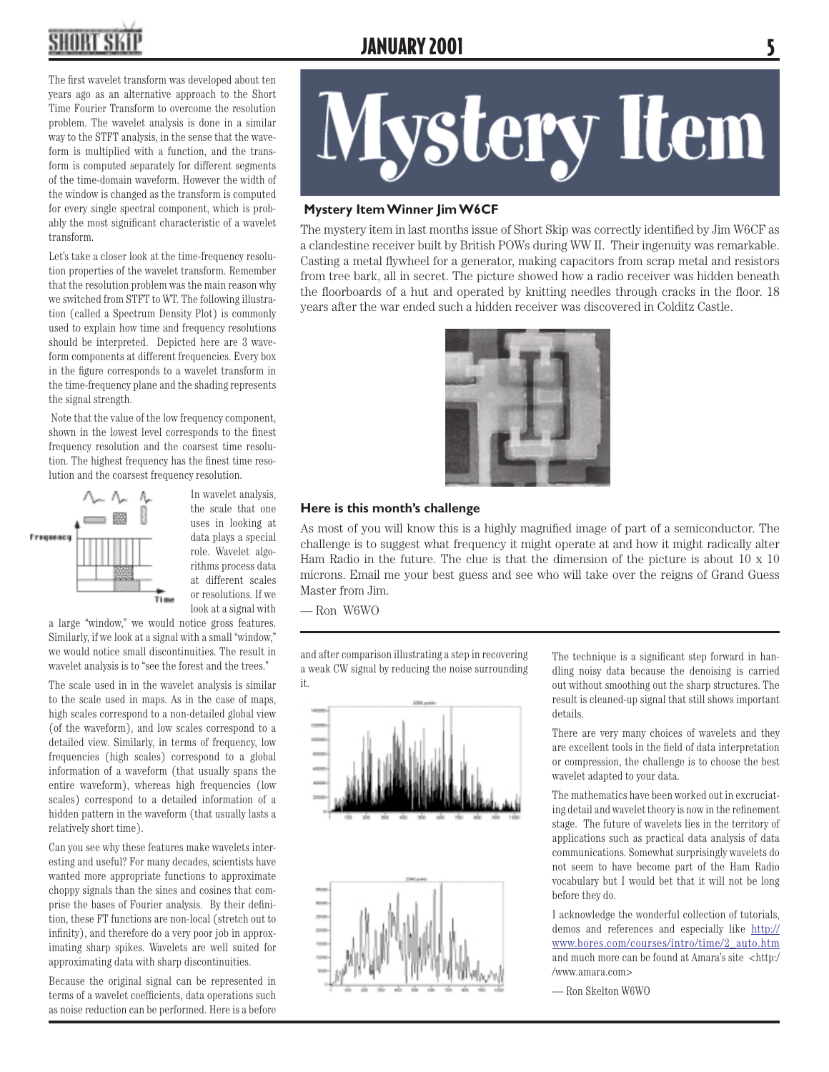**JANUARY 2001** 

The first wavelet transform was developed about ten years ago as an alternative approach to the Short Time Fourier Transform to overcome the resolution problem. The wavelet analysis is done in a similar way to the STFT analysis, in the sense that the waveform is multiplied with a function, and the transform is computed separately for different segments of the time-domain waveform. However the width of the window is changed as the transform is computed for every single spectral component, which is probably the most significant characteristic of a wavelet transform.

Let's take a closer look at the time-frequency resolution properties of the wavelet transform. Remember that the resolution problem was the main reason why we switched from STFT to WT. The following illustration (called a Spectrum Density Plot) is commonly used to explain how time and frequency resolutions should be interpreted. Depicted here are 3 waveform components at different frequencies. Every box in the figure corresponds to a wavelet transform in the time-frequency plane and the shading represents the signal strength.

 Note that the value of the low frequency component, shown in the lowest level corresponds to the finest frequency resolution and the coarsest time resolution. The highest frequency has the finest time resolution and the coarsest frequency resolution.



the scale that one uses in looking at data plays a special role. Wavelet algorithms process data at different scales or resolutions. If we look at a signal with

a large "window," we would notice gross features. Similarly, if we look at a signal with a small "window," we would notice small discontinuities. The result in wavelet analysis is to "see the forest and the trees."

The scale used in in the wavelet analysis is similar to the scale used in maps. As in the case of maps, high scales correspond to a non-detailed global view (of the waveform), and low scales correspond to a detailed view. Similarly, in terms of frequency, low frequencies (high scales) correspond to a global information of a waveform (that usually spans the entire waveform), whereas high frequencies (low scales) correspond to a detailed information of a hidden pattern in the waveform (that usually lasts a relatively short time).

Can you see why these features make wavelets interesting and useful? For many decades, scientists have wanted more appropriate functions to approximate choppy signals than the sines and cosines that comprise the bases of Fourier analysis. By their definition, these FT functions are non-local (stretch out to infinity), and therefore do a very poor job in approximating sharp spikes. Wavelets are well suited for approximating data with sharp discontinuities.

Because the original signal can be represented in terms of a wavelet coefficients, data operations such as noise reduction can be performed. Here is a before

# **Mystery Item**

### **Mystery Item Winner Jim W6CF**

The mystery item in last months issue of Short Skip was correctly identified by Jim W6CF as a clandestine receiver built by British POWs during WW II. Their ingenuity was remarkable. Casting a metal flywheel for a generator, making capacitors from scrap metal and resistors from tree bark, all in secret. The picture showed how a radio receiver was hidden beneath the floorboards of a hut and operated by knitting needles through cracks in the floor. 18 years after the war ended such a hidden receiver was discovered in Colditz Castle.



### **Here is this month's challenge**

As most of you will know this is a highly magnified image of part of a semiconductor. The challenge is to suggest what frequency it might operate at and how it might radically alter Ham Radio in the future. The clue is that the dimension of the picture is about  $10 \times 10$ microns. Email me your best guess and see who will take over the reigns of Grand Guess Master from Jim.

— Ron W6WO

and after comparison illustrating a step in recovering a weak CW signal by reducing the noise surrounding it.



The technique is a significant step forward in handling noisy data because the denoising is carried out without smoothing out the sharp structures. The result is cleaned-up signal that still shows important details.

There are very many choices of wavelets and they are excellent tools in the field of data interpretation or compression, the challenge is to choose the best wavelet adapted to your data.

The mathematics have been worked out in excruciating detail and wavelet theory is now in the refinement stage. The future of wavelets lies in the territory of applications such as practical data analysis of data communications. Somewhat surprisingly wavelets do not seem to have become part of the Ham Radio vocabulary but I would bet that it will not be long before they do.

I acknowledge the wonderful collection of tutorials, demos and references and especially like http:// www.bores.com/courses/intro/time/2\_auto.htm and much more can be found at Amara's site <http:/ /www.amara.com>

— Ron Skelton W6WO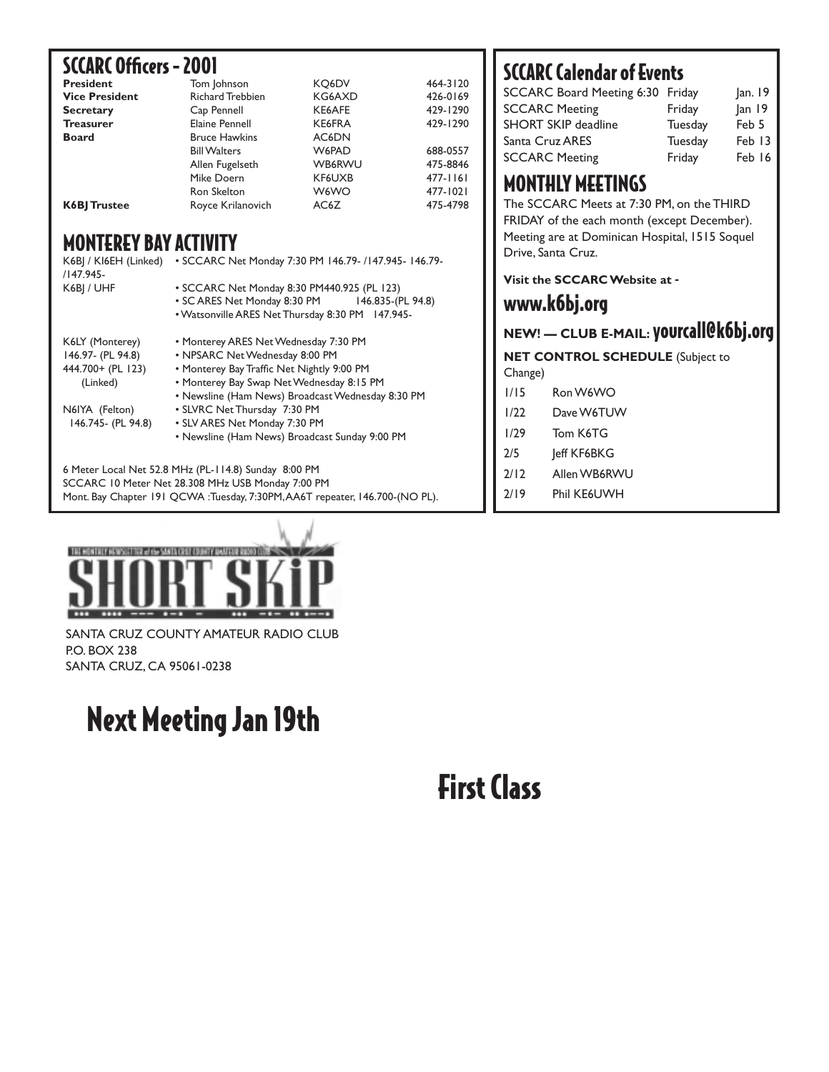### SCCARC Officers - 2001

| <b>President</b>      | Tom Johnson             | KO6DV         | 464-3120 |
|-----------------------|-------------------------|---------------|----------|
| <b>Vice President</b> | <b>Richard Trebbien</b> | KG6AXD        | 426-0169 |
| <b>Secretary</b>      | Cap Pennell             | KE6AFE        | 429-1290 |
| <b>Treasurer</b>      | Elaine Pennell          | KE6FRA        | 429-1290 |
| <b>Board</b>          | <b>Bruce Hawkins</b>    | AC6DN         |          |
|                       | <b>Bill Walters</b>     | W6PAD         | 688-0557 |
|                       | Allen Fugelseth         | <b>WB6RWU</b> | 475-8846 |
|                       | Mike Doern              | KF6UXB        | 477-1161 |
|                       | Ron Skelton             | W6WO          | 477-1021 |
| <b>K6BI Trustee</b>   | Royce Krilanovich       | AC6Z          | 475-4798 |

### MONTEREY BAY ACTIVITY

| K6BJ / KI6EH (Linked)<br>/147.945- | • SCCARC Net Monday 7:30 PM 146.79- /147.945- 146.79- |  |  |
|------------------------------------|-------------------------------------------------------|--|--|
| K6BI / UHF                         | • SCCARC Net Monday 8:30 PM440.925 (PL 123)           |  |  |
|                                    |                                                       |  |  |
|                                    | • SC ARES Net Monday 8:30 PM 146.835-(PL 94.8)        |  |  |
|                                    | . Watsonville ARES Net Thursday 8:30 PM 147.945-      |  |  |
| K6LY (Monterey)                    | • Monterey ARES Net Wednesday 7:30 PM                 |  |  |
| 146.97- (PL 94.8)                  | • NPSARC Net Wednesday 8:00 PM                        |  |  |
| 444.700+ (PL 123)                  | • Monterey Bay Traffic Net Nightly 9:00 PM            |  |  |
| (Linked)                           | • Monterey Bay Swap Net Wednesday 8:15 PM             |  |  |
|                                    | • Newsline (Ham News) Broadcast Wednesday 8:30 PM     |  |  |
| N6IYA (Felton)                     | • SLVRC Net Thursday 7:30 PM                          |  |  |
| 146.745- (PL 94.8)                 | • SLV ARES Net Monday 7:30 PM                         |  |  |
|                                    | • Newsline (Ham News) Broadcast Sunday 9:00 PM        |  |  |
|                                    | 6 Meter Local Net 52.8 MHz (PL-114.8) Sunday 8:00 PM  |  |  |

SCCARC 10 Meter Net 28.308 MHz USB Monday 7:00 PM Mont. Bay Chapter 191 QCWA :Tuesday, 7:30PM, AA6T repeater, 146.700-(NO PL).

### SCCARC Calendar of Events

| <b>SCCARC Board Meeting 6:30 Friday</b> |         | Jan. 19 |
|-----------------------------------------|---------|---------|
| <b>SCCARC Meeting</b>                   | Friday  | Jan 19  |
| <b>SHORT SKIP deadline</b>              | Tuesday | Feb 5   |
| Santa Cruz ARES                         | Tuesday | Feb 13  |
| <b>SCCARC Meeting</b>                   | Friday  | Feb 16  |
|                                         |         |         |

### MONTHLY MEETINGS

The SCCARC Meets at 7:30 PM, on the THIRD FRIDAY of the each month (except December). Meeting are at Dominican Hospital, 1515 Soquel Drive, Santa Cruz.

**Visit the SCCARC Website at** -

### www.k6bj.org

**NEW! — CLUB E-MAIL:** yourcall@k6bj.org

**NET CONTROL SCHEDULE** (Subject to Change)

- 1/15 Ron W6WO
- 1/22 Dave W6TUW
- 1/29 Tom K6TG
- 2/5 **Jeff KF6BKG**
- 2/12 Allen WB6RWU
- 2/19 Phil KE6UWH



SANTA CRUZ COUNTY AMATEUR RADIO CLUB P.O. BOX 238 SANTA CRUZ, CA 95061-0238

# Next Meeting Jan 19th

# First Class